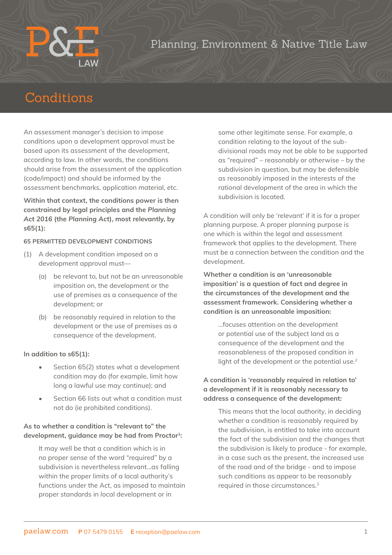## Planning, Environment & Native Title Law

# Conditions

An assessment manager's decision to impose conditions upon a development approval must be based upon its assessment of the development, according to law. In other words, the conditions should arise from the assessment of the application (code/impact) and should be informed by the assessment benchmarks, application material, etc.

**Within that context, the conditions power is then constrained by legal principles and the** *Planning Act 2016* **(the** *Planning Act***), most relevantly, by s65(1):**

#### **65 PERMITTED DEVELOPMENT CONDITIONS**

- (1) A development condition imposed on a development approval must—
	- (a) be relevant to, but not be an unreasonable imposition on, the development or the use of premises as a consequence of the development; or
	- (b) be reasonably required in relation to the development or the use of premises as a consequence of the development.

#### **In addition to s65(1):**

- Section 65(2) states what a development condition may do (for example, limit how long a lawful use may continue); and
- Section 66 lists out what a condition must not do (ie prohibited conditions).

### **As to whether a condition is "relevant to" the**  development, guidance may be had from Proctor<sup>1</sup>:

It may well be that a condition which is in no proper sense of the word "required" by a subdivision is nevertheless relevant…as falling within the proper limits of a local authority's functions under the Act, as imposed to maintain proper standards in local development or in

some other legitimate sense. For example, a condition relating to the layout of the subdivisional roads may not be able to be supported as "required" – reasonably or otherwise – by the subdivision in question, but may be defensible as reasonably imposed in the interests of the rational development of the area in which the subdivision is located.

A condition will only be 'relevant' if it is for a proper planning purpose. A proper planning purpose is one which is within the legal and assessment framework that applies to the development. There must be a connection between the condition and the development.

**Whether a condition is an 'unreasonable imposition' is a question of fact and degree in the circumstances of the development and the assessment framework. Considering whether a condition is an unreasonable imposition:**

…focuses attention on the development or potential use of the subject land as a consequence of the development and the reasonableness of the proposed condition in light of the development or the potential use.<sup>2</sup>

### **A condition is 'reasonably required in relation to' a development if it is reasonably necessary to address a consequence of the development:**

This means that the local authority, in deciding whether a condition is reasonably required by the subdivision, is entitled to take into account the fact of the subdivision and the changes that the subdivision is likely to produce - for example, in a case such as the present, the increased use of the road and of the bridge - and to impose such conditions as appear to be reasonably required in those circumstances.3